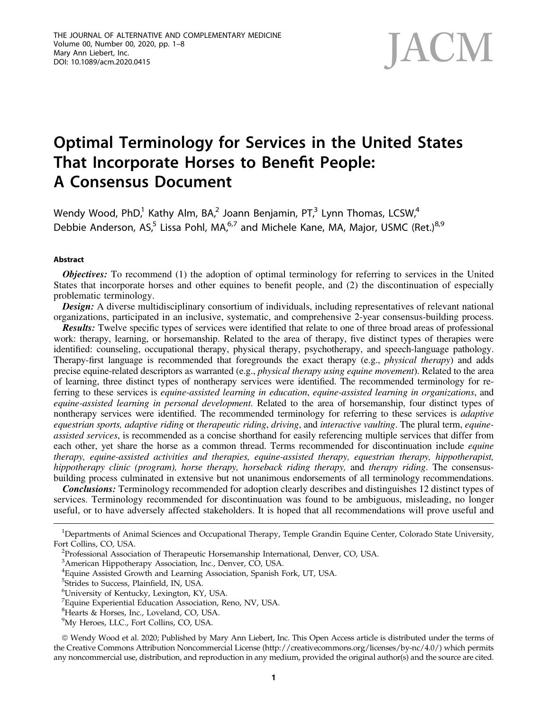

# Optimal Terminology for Services in the United States That Incorporate Horses to Benefit People: A Consensus Document

Wendy Wood, PhD,<sup>1</sup> Kathy Alm, BA,<sup>2</sup> Joann Benjamin, PT,<sup>3</sup> Lynn Thomas, LCSW,<sup>4</sup> Debbie Anderson, AS,<sup>5</sup> Lissa Pohl, MA,<sup>6,7</sup> and Michele Kane, MA, Major, USMC (Ret.)<sup>8,9</sup>

# Abstract

*Objectives:* To recommend (1) the adoption of optimal terminology for referring to services in the United States that incorporate horses and other equines to benefit people, and (2) the discontinuation of especially problematic terminology.

**Design:** A diverse multidisciplinary consortium of individuals, including representatives of relevant national organizations, participated in an inclusive, systematic, and comprehensive 2-year consensus-building process.

Results: Twelve specific types of services were identified that relate to one of three broad areas of professional work: therapy, learning, or horsemanship. Related to the area of therapy, five distinct types of therapies were identified: counseling, occupational therapy, physical therapy, psychotherapy, and speech-language pathology. Therapy-first language is recommended that foregrounds the exact therapy (e.g., *physical therapy*) and adds precise equine-related descriptors as warranted (e.g., *physical therapy using equine movement*). Related to the area of learning, three distinct types of nontherapy services were identified. The recommended terminology for referring to these services is *equine-assisted learning in education*, *equine-assisted learning in organizations*, and *equine-assisted learning in personal development*. Related to the area of horsemanship, four distinct types of nontherapy services were identified. The recommended terminology for referring to these services is *adaptive equestrian sports, adaptive riding* or *therapeutic riding*, *driving*, and *interactive vaulting*. The plural term, *equineassisted services*, is recommended as a concise shorthand for easily referencing multiple services that differ from each other, yet share the horse as a common thread. Terms recommended for discontinuation include *equine therapy, equine-assisted activities and therapies, equine-assisted therapy, equestrian therapy, hippotherapist, hippotherapy clinic (program), horse therapy, horseback riding therapy,* and *therapy riding*. The consensusbuilding process culminated in extensive but not unanimous endorsements of all terminology recommendations.

Conclusions: Terminology recommended for adoption clearly describes and distinguishes 12 distinct types of services. Terminology recommended for discontinuation was found to be ambiguous, misleading, no longer useful, or to have adversely affected stakeholders. It is hoped that all recommendations will prove useful and

<sup>&</sup>lt;sup>1</sup>Departments of Animal Sciences and Occupational Therapy, Temple Grandin Equine Center, Colorado State University, Fort Collins, CO, USA. <sup>2</sup>

<sup>&</sup>lt;sup>2</sup>Professional Association of Therapeutic Horsemanship International, Denver, CO, USA.

<sup>&</sup>lt;sup>3</sup>American Hippotherapy Association, Inc., Denver, CO, USA.

<sup>4</sup> Equine Assisted Growth and Learning Association, Spanish Fork, UT, USA.

<sup>&</sup>lt;sup>5</sup>Strides to Success, Plainfield, IN, USA.

<sup>6</sup> University of Kentucky, Lexington, KY, USA.

<sup>&</sup>lt;sup>7</sup> Equine Experiential Education Association, Reno, NV, USA.

<sup>8</sup> Hearts & Horses, Inc., Loveland, CO, USA.

<sup>&</sup>lt;sup>9</sup>My Heroes, LLC., Fort Collins, CO, USA.

ª Wendy Wood et al. 2020; Published by Mary Ann Liebert, Inc. This Open Access article is distributed under the terms of the Creative Commons Attribution Noncommercial License [\(http://creativecommons.org/licenses/by-nc/4.0/](http://creativecommons.org/licenses/by-nc/4.0/)) which permits any noncommercial use, distribution, and reproduction in any medium, provided the original author(s) and the source are cited.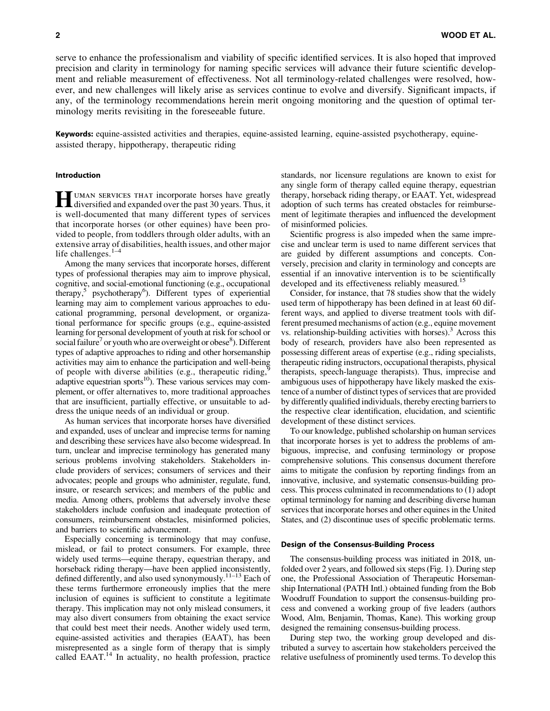serve to enhance the professionalism and viability of specific identified services. It is also hoped that improved precision and clarity in terminology for naming specific services will advance their future scientific development and reliable measurement of effectiveness. Not all terminology-related challenges were resolved, however, and new challenges will likely arise as services continue to evolve and diversify. Significant impacts, if any, of the terminology recommendations herein merit ongoing monitoring and the question of optimal terminology merits revisiting in the foreseeable future.

Keywords: equine-assisted activities and therapies, equine-assisted learning, equine-assisted psychotherapy, equineassisted therapy, hippotherapy, therapeutic riding

#### Introduction

Human services that incorporate horses have greatly diversified and expanded over the past 30 years. Thus, it is well-documented that many different types of services that incorporate horses (or other equines) have been provided to people, from toddlers through older adults, with an extensive array of disabilities, health issues, and other major life challenges. $1-4$ 

Among the many services that incorporate horses, different types of professional therapies may aim to improve physical, cognitive, and social-emotional functioning (e.g., occupational therapy,<sup>5</sup> psychotherapy<sup>6</sup>). Different types of experiential learning may aim to complement various approaches to educational programming, personal development, or organizational performance for specific groups (e.g., equine-assisted learning for personal development of youth at risk for school or social failure<sup>7</sup> or youth who are overweight or obese<sup>8</sup>). Different types of adaptive approaches to riding and other horsemanship activities may aim to enhance the participation and well-being of people with diverse abilities (e.g., therapeutic riding, $\overline{5}$ ) adaptive equestrian sports $10$ . These various services may complement, or offer alternatives to, more traditional approaches that are insufficient, partially effective, or unsuitable to address the unique needs of an individual or group.

As human services that incorporate horses have diversified and expanded, uses of unclear and imprecise terms for naming and describing these services have also become widespread. In turn, unclear and imprecise terminology has generated many serious problems involving stakeholders. Stakeholders include providers of services; consumers of services and their advocates; people and groups who administer, regulate, fund, insure, or research services; and members of the public and media. Among others, problems that adversely involve these stakeholders include confusion and inadequate protection of consumers, reimbursement obstacles, misinformed policies, and barriers to scientific advancement.

Especially concerning is terminology that may confuse, mislead, or fail to protect consumers. For example, three widely used terms—equine therapy, equestrian therapy, and horseback riding therapy—have been applied inconsistently, defined differently, and also used synonymously.<sup>11–13</sup> Each of these terms furthermore erroneously implies that the mere inclusion of equines is sufficient to constitute a legitimate therapy. This implication may not only mislead consumers, it may also divert consumers from obtaining the exact service that could best meet their needs. Another widely used term, equine-assisted activities and therapies (EAAT), has been misrepresented as a single form of therapy that is simply called EAAT.<sup>14</sup> In actuality, no health profession, practice standards, nor licensure regulations are known to exist for any single form of therapy called equine therapy, equestrian therapy, horseback riding therapy, or EAAT. Yet, widespread adoption of such terms has created obstacles for reimbursement of legitimate therapies and influenced the development of misinformed policies.

Scientific progress is also impeded when the same imprecise and unclear term is used to name different services that are guided by different assumptions and concepts. Conversely, precision and clarity in terminology and concepts are essential if an innovative intervention is to be scientifically developed and its effectiveness reliably measured.<sup>15</sup>

Consider, for instance, that 78 studies show that the widely used term of hippotherapy has been defined in at least 60 different ways, and applied to diverse treatment tools with different presumed mechanisms of action (e.g., equine movement vs. relationship-building activities with horses).<sup>3</sup> Across this body of research, providers have also been represented as possessing different areas of expertise (e.g., riding specialists, therapeutic riding instructors, occupational therapists, physical therapists, speech-language therapists). Thus, imprecise and ambiguous uses of hippotherapy have likely masked the existence of a number of distinct types of services that are provided by differently qualified individuals, thereby erecting barriers to the respective clear identification, elucidation, and scientific development of these distinct services.

To our knowledge, published scholarship on human services that incorporate horses is yet to address the problems of ambiguous, imprecise, and confusing terminology or propose comprehensive solutions. This consensus document therefore aims to mitigate the confusion by reporting findings from an innovative, inclusive, and systematic consensus-building process. This process culminated in recommendations to (1) adopt optimal terminology for naming and describing diverse human services that incorporate horses and other equines in the United States, and (2) discontinue uses of specific problematic terms.

#### Design of the Consensus-Building Process

The consensus-building process was initiated in 2018, unfolded over 2 years, and followed six steps (Fig. 1). During step one, the Professional Association of Therapeutic Horsemanship International (PATH Intl.) obtained funding from the Bob Woodruff Foundation to support the consensus-building process and convened a working group of five leaders (authors Wood, Alm, Benjamin, Thomas, Kane). This working group designed the remaining consensus-building process.

During step two, the working group developed and distributed a survey to ascertain how stakeholders perceived the relative usefulness of prominently used terms. To develop this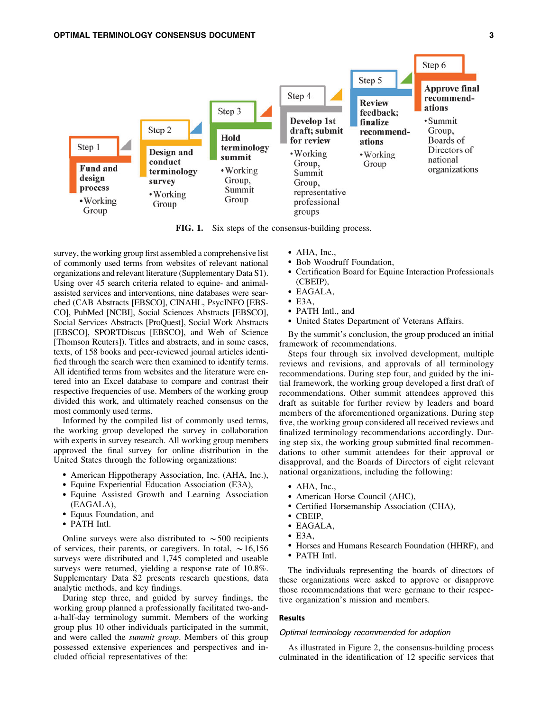

FIG. 1. Six steps of the consensus-building process.

survey, the working group first assembled a comprehensive list of commonly used terms from websites of relevant national organizations and relevant literature (Supplementary Data S1). Using over 45 search criteria related to equine- and animalassisted services and interventions, nine databases were searched (CAB Abstracts [EBSCO], CINAHL, PsycINFO [EBS-CO], PubMed [NCBI], Social Sciences Abstracts [EBSCO], Social Services Abstracts [ProQuest], Social Work Abstracts [EBSCO], SPORTDiscus [EBSCO], and Web of Science [Thomson Reuters]). Titles and abstracts, and in some cases, texts, of 158 books and peer-reviewed journal articles identified through the search were then examined to identify terms. All identified terms from websites and the literature were entered into an Excel database to compare and contrast their respective frequencies of use. Members of the working group divided this work, and ultimately reached consensus on the most commonly used terms.

Informed by the compiled list of commonly used terms, the working group developed the survey in collaboration with experts in survey research. All working group members approved the final survey for online distribution in the United States through the following organizations:

- American Hippotherapy Association, Inc. (AHA, Inc.),
- Equine Experiential Education Association (E3A),
- Equine Assisted Growth and Learning Association (EAGALA),
- Equus Foundation, and
- PATH Intl.

Online surveys were also distributed to  $\sim$  500 recipients of services, their parents, or caregivers. In total,  $\sim 16,156$ surveys were distributed and 1,745 completed and useable surveys were returned, yielding a response rate of 10.8%. Supplementary Data S2 presents research questions, data analytic methods, and key findings.

During step three, and guided by survey findings, the working group planned a professionally facilitated two-anda-half-day terminology summit. Members of the working group plus 10 other individuals participated in the summit, and were called the *summit group*. Members of this group possessed extensive experiences and perspectives and included official representatives of the:

- AHA, Inc.,
- Bob Woodruff Foundation,
- Certification Board for Equine Interaction Professionals (CBEIP),
- EAGALA,
- E3A,
- PATH Intl., and
- United States Department of Veterans Affairs.

By the summit's conclusion, the group produced an initial framework of recommendations.

Steps four through six involved development, multiple reviews and revisions, and approvals of all terminology recommendations. During step four, and guided by the initial framework, the working group developed a first draft of recommendations. Other summit attendees approved this draft as suitable for further review by leaders and board members of the aforementioned organizations. During step five, the working group considered all received reviews and finalized terminology recommendations accordingly. During step six, the working group submitted final recommendations to other summit attendees for their approval or disapproval, and the Boards of Directors of eight relevant national organizations, including the following:

- AHA, Inc.,
- American Horse Council (AHC),
- Certified Horsemanship Association (CHA),
- CBEIP,
- EAGALA,
- E3A,
- Horses and Humans Research Foundation (HHRF), and
- PATH Intl.

The individuals representing the boards of directors of these organizations were asked to approve or disapprove those recommendations that were germane to their respective organization's mission and members.

#### Results

# Optimal terminology recommended for adoption

As illustrated in Figure 2, the consensus-building process culminated in the identification of 12 specific services that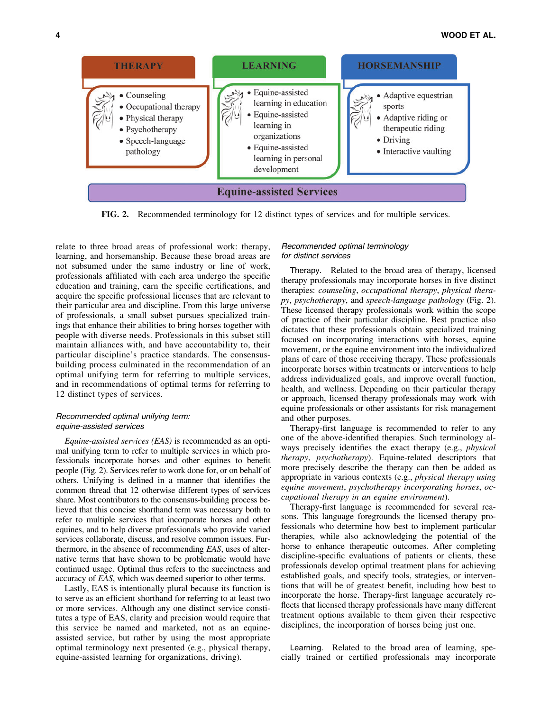

FIG. 2. Recommended terminology for 12 distinct types of services and for multiple services.

relate to three broad areas of professional work: therapy, learning, and horsemanship. Because these broad areas are not subsumed under the same industry or line of work, professionals affiliated with each area undergo the specific education and training, earn the specific certifications, and acquire the specific professional licenses that are relevant to their particular area and discipline. From this large universe of professionals, a small subset pursues specialized trainings that enhance their abilities to bring horses together with people with diverse needs. Professionals in this subset still maintain alliances with, and have accountability to, their particular discipline's practice standards. The consensusbuilding process culminated in the recommendation of an optimal unifying term for referring to multiple services, and in recommendations of optimal terms for referring to 12 distinct types of services.

### Recommended optimal unifying term: equine-assisted services

*Equine-assisted services (EAS)* is recommended as an optimal unifying term to refer to multiple services in which professionals incorporate horses and other equines to benefit people (Fig. 2). Services refer to work done for, or on behalf of others. Unifying is defined in a manner that identifies the common thread that 12 otherwise different types of services share. Most contributors to the consensus-building process believed that this concise shorthand term was necessary both to refer to multiple services that incorporate horses and other equines, and to help diverse professionals who provide varied services collaborate, discuss, and resolve common issues. Furthermore, in the absence of recommending *EAS*, uses of alternative terms that have shown to be problematic would have continued usage. Optimal thus refers to the succinctness and accuracy of *EAS*, which was deemed superior to other terms.

Lastly, EAS is intentionally plural because its function is to serve as an efficient shorthand for referring to at least two or more services. Although any one distinct service constitutes a type of EAS, clarity and precision would require that this service be named and marketed, not as an equineassisted service, but rather by using the most appropriate optimal terminology next presented (e.g., physical therapy, equine-assisted learning for organizations, driving).

# Recommended optimal terminology for distinct services

Therapy. Related to the broad area of therapy, licensed therapy professionals may incorporate horses in five distinct therapies: *counseling*, *occupational therapy*, *physical therapy*, *psychotherapy*, and *speech-language pathology* (Fig. 2). These licensed therapy professionals work within the scope of practice of their particular discipline. Best practice also dictates that these professionals obtain specialized training focused on incorporating interactions with horses, equine movement, or the equine environment into the individualized plans of care of those receiving therapy. These professionals incorporate horses within treatments or interventions to help address individualized goals, and improve overall function, health, and wellness. Depending on their particular therapy or approach, licensed therapy professionals may work with equine professionals or other assistants for risk management and other purposes.

Therapy-first language is recommended to refer to any one of the above-identified therapies. Such terminology always precisely identifies the exact therapy (e.g., *physical therapy*, *psychotherapy*). Equine-related descriptors that more precisely describe the therapy can then be added as appropriate in various contexts (e.g., *physical therapy using equine movement*, *psychotherapy incorporating horses*, *occupational therapy in an equine environment*).

Therapy-first language is recommended for several reasons. This language foregrounds the licensed therapy professionals who determine how best to implement particular therapies, while also acknowledging the potential of the horse to enhance therapeutic outcomes. After completing discipline-specific evaluations of patients or clients, these professionals develop optimal treatment plans for achieving established goals, and specify tools, strategies, or interventions that will be of greatest benefit, including how best to incorporate the horse. Therapy-first language accurately reflects that licensed therapy professionals have many different treatment options available to them given their respective disciplines, the incorporation of horses being just one.

Learning. Related to the broad area of learning, specially trained or certified professionals may incorporate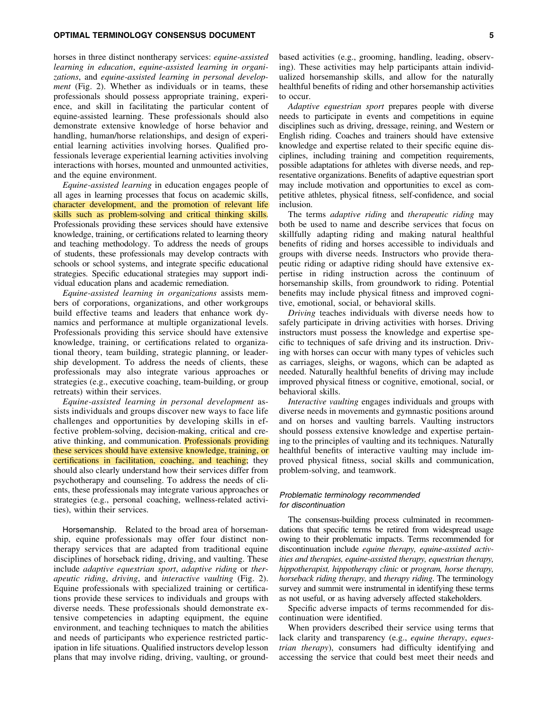# OPTIMAL TERMINOLOGY CONSENSUS DOCUMENT 5

horses in three distinct nontherapy services: *equine-assisted learning in education*, *equine-assisted learning in organizations*, and *equine-assisted learning in personal development* (Fig. 2). Whether as individuals or in teams, these professionals should possess appropriate training, experience, and skill in facilitating the particular content of equine-assisted learning. These professionals should also demonstrate extensive knowledge of horse behavior and handling, human/horse relationships, and design of experiential learning activities involving horses. Qualified professionals leverage experiential learning activities involving interactions with horses, mounted and unmounted activities, and the equine environment.

*Equine-assisted learning* in education engages people of all ages in learning processes that focus on academic skills, character development, and the promotion of relevant life skills such as problem-solving and critical thinking skills. Professionals providing these services should have extensive knowledge, training, or certifications related to learning theory and teaching methodology. To address the needs of groups of students, these professionals may develop contracts with schools or school systems, and integrate specific educational strategies. Specific educational strategies may support individual education plans and academic remediation.

*Equine-assisted learning in organizations* assists members of corporations, organizations, and other workgroups build effective teams and leaders that enhance work dynamics and performance at multiple organizational levels. Professionals providing this service should have extensive knowledge, training, or certifications related to organizational theory, team building, strategic planning, or leadership development. To address the needs of clients, these professionals may also integrate various approaches or strategies (e.g., executive coaching, team-building, or group retreats) within their services.

*Equine-assisted learning in personal development* assists individuals and groups discover new ways to face life challenges and opportunities by developing skills in effective problem-solving, decision-making, critical and creative thinking, and communication. Professionals providing these services should have extensive knowledge, training, or certifications in facilitation, coaching, and teaching; they should also clearly understand how their services differ from psychotherapy and counseling. To address the needs of clients, these professionals may integrate various approaches or strategies (e.g., personal coaching, wellness-related activities), within their services.

Horsemanship. Related to the broad area of horsemanship, equine professionals may offer four distinct nontherapy services that are adapted from traditional equine disciplines of horseback riding, driving, and vaulting. These include *adaptive equestrian sport*, *adaptive riding* or *therapeutic riding*, *driving*, and *interactive vaulting* (Fig. 2). Equine professionals with specialized training or certifications provide these services to individuals and groups with diverse needs. These professionals should demonstrate extensive competencies in adapting equipment, the equine environment, and teaching techniques to match the abilities and needs of participants who experience restricted participation in life situations. Qualified instructors develop lesson plans that may involve riding, driving, vaulting, or groundbased activities (e.g., grooming, handling, leading, observing). These activities may help participants attain individualized horsemanship skills, and allow for the naturally healthful benefits of riding and other horsemanship activities to occur.

*Adaptive equestrian sport* prepares people with diverse needs to participate in events and competitions in equine disciplines such as driving, dressage, reining, and Western or English riding. Coaches and trainers should have extensive knowledge and expertise related to their specific equine disciplines, including training and competition requirements, possible adaptations for athletes with diverse needs, and representative organizations. Benefits of adaptive equestrian sport may include motivation and opportunities to excel as competitive athletes, physical fitness, self-confidence, and social inclusion.

The terms *adaptive riding* and *therapeutic riding* may both be used to name and describe services that focus on skillfully adapting riding and making natural healthful benefits of riding and horses accessible to individuals and groups with diverse needs. Instructors who provide therapeutic riding or adaptive riding should have extensive expertise in riding instruction across the continuum of horsemanship skills, from groundwork to riding. Potential benefits may include physical fitness and improved cognitive, emotional, social, or behavioral skills.

*Driving* teaches individuals with diverse needs how to safely participate in driving activities with horses. Driving instructors must possess the knowledge and expertise specific to techniques of safe driving and its instruction. Driving with horses can occur with many types of vehicles such as carriages, sleighs, or wagons, which can be adapted as needed. Naturally healthful benefits of driving may include improved physical fitness or cognitive, emotional, social, or behavioral skills.

*Interactive vaulting* engages individuals and groups with diverse needs in movements and gymnastic positions around and on horses and vaulting barrels. Vaulting instructors should possess extensive knowledge and expertise pertaining to the principles of vaulting and its techniques. Naturally healthful benefits of interactive vaulting may include improved physical fitness, social skills and communication, problem-solving, and teamwork.

## Problematic terminology recommended for discontinuation

The consensus-building process culminated in recommendations that specific terms be retired from widespread usage owing to their problematic impacts. Terms recommended for discontinuation include *equine therapy, equine-assisted activities and therapies, equine-assisted therapy, equestrian therapy, hippotherapist, hippotherapy clinic* or *program, horse therapy, horseback riding therapy,* and *therapy riding*. The terminology survey and summit were instrumental in identifying these terms as not useful, or as having adversely affected stakeholders.

Specific adverse impacts of terms recommended for discontinuation were identified.

When providers described their service using terms that lack clarity and transparency (e.g., *equine therapy*, *equestrian therapy*), consumers had difficulty identifying and accessing the service that could best meet their needs and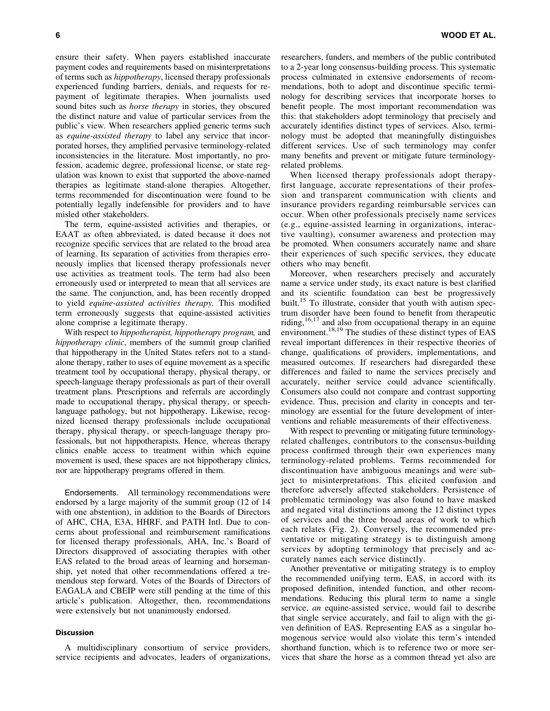ensure their safety. When payers established inaccurate payment codes and requirements based on misinterpretations of terms such as *hippotherapy*, licensed therapy professionals experienced funding barriers, denials, and requests for repayment of legitimate therapies. When journalists used sound bites such as *horse therapy* in stories, they obscured the distinct nature and value of particular services from the public's view. When researchers applied generic terms such as *equine-assisted therapy* to label any service that incorporated horses, they amplified pervasive terminology-related inconsistencies in the literature. Most importantly, no profession, academic degree, professional license, or state regulation was known to exist that supported the above-named therapies as legitimate stand-alone therapies. Altogether, terms recommended for discontinuation were found to be potentially legally indefensible for providers and to have misled other stakeholders.

The term, equine-assisted activities and therapies, or EAAT as often abbreviated, is dated because it does not recognize specific services that are related to the broad area of learning. Its separation of activities from therapies erroneously implies that licensed therapy professionals never use activities as treatment tools. The term had also been erroneously used or interpreted to mean that all services are the same. The conjunction, and, has been recently dropped to yield *equine-assisted activities therapy.* This modified term erroneously suggests that equine-assisted activities alone comprise a legitimate therapy.

With respect to *hippotherapist, hippotherapy program,* and *hippotherapy clinic*, members of the summit group clarified that hippotherapy in the United States refers not to a standalone therapy, rather to uses of equine movement as a specific treatment tool by occupational therapy, physical therapy, or speech-language therapy professionals as part of their overall treatment plans. Prescriptions and referrals are accordingly made to occupational therapy, physical therapy, or speechlanguage pathology, but not hippotherapy. Likewise, recognized licensed therapy professionals include occupational therapy, physical therapy, or speech-language therapy professionals, but not hippotherapists. Hence, whereas therapy clinics enable access to treatment within which equine movement is used, these spaces are not hippotherapy clinics, nor are hippotherapy programs offered in them.

Endorsements. All terminology recommendations were endorsed by a large majority of the summit group (12 of 14 with one abstention), in addition to the Boards of Directors of AHC, CHA, E3A, HHRF, and PATH Intl. Due to concerns about professional and reimbursement ramifications for licensed therapy professionals, AHA, Inc.'s Board of Directors disapproved of associating therapies with other EAS related to the broad areas of learning and horsemanship, yet noted that other recommendations offered a tremendous step forward. Votes of the Boards of Directors of EAGALA and CBEIP were still pending at the time of this article's publication. Altogether, then, recommendations were extensively but not unanimously endorsed.

#### Discussion

A multidisciplinary consortium of service providers, service recipients and advocates, leaders of organizations, researchers, funders, and members of the public contributed to a 2-year long consensus-building process. This systematic process culminated in extensive endorsements of recommendations, both to adopt and discontinue specific terminology for describing services that incorporate horses to benefit people. The most important recommendation was this: that stakeholders adopt terminology that precisely and accurately identifies distinct types of services. Also, terminology must be adopted that meaningfully distinguishes different services. Use of such terminology may confer many benefits and prevent or mitigate future terminologyrelated problems.

When licensed therapy professionals adopt therapyfirst language, accurate representations of their profession and transparent communication with clients and insurance providers regarding reimbursable services can occur. When other professionals precisely name services (e.g., equine-assisted learning in organizations, interactive vaulting), consumer awareness and protection may be promoted. When consumers accurately name and share their experiences of such specific services, they educate others who may benefit.

Moreover, when researchers precisely and accurately name a service under study, its exact nature is best clarified and its scientific foundation can best be progressively built.<sup>15</sup> To illustrate, consider that youth with autism spectrum disorder have been found to benefit from therapeutic riding, $16,17$  and also from occupational therapy in an equine environment.<sup>18,19</sup> The studies of these distinct types of EAS reveal important differences in their respective theories of change, qualifications of providers, implementations, and measured outcomes. If researchers had disregarded these differences and failed to name the services precisely and accurately, neither service could advance scientifically. Consumers also could not compare and contrast supporting evidence. Thus, precision and clarity in concepts and terminology are essential for the future development of interventions and reliable measurements of their effectiveness.

With respect to preventing or mitigating future terminologyrelated challenges, contributors to the consensus-building process confirmed through their own experiences many terminology-related problems. Terms recommended for discontinuation have ambiguous meanings and were subject to misinterpretations. This elicited confusion and therefore adversely affected stakeholders. Persistence of problematic terminology was also found to have masked and negated vital distinctions among the 12 distinct types of services and the three broad areas of work to which each relates (Fig. 2). Conversely, the recommended preventative or mitigating strategy is to distinguish among services by adopting terminology that precisely and accurately names each service distinctly.

Another preventative or mitigating strategy is to employ the recommended unifying term, EAS, in accord with its proposed definition, intended function, and other recommendations. Reducing this plural term to name a single service, *an* equine-assisted service, would fail to describe that single service accurately, and fail to align with the given definition of EAS. Representing EAS as a singular homogenous service would also violate this term's intended shorthand function, which is to reference two or more services that share the horse as a common thread yet also are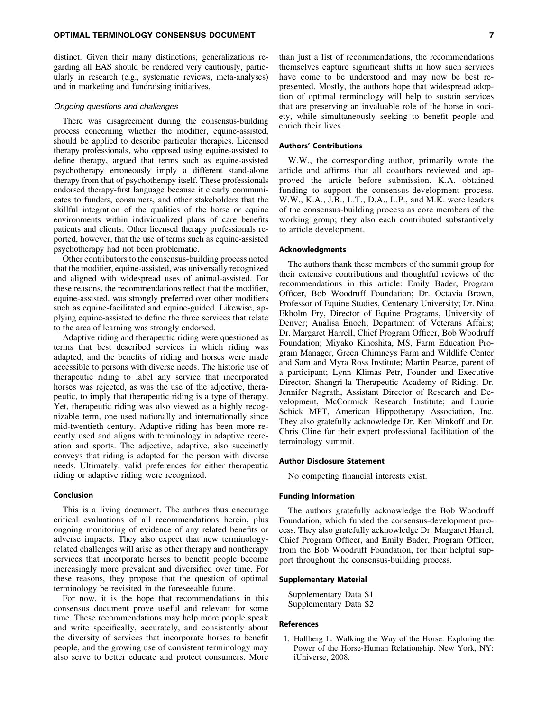# OPTIMAL TERMINOLOGY CONSENSUS DOCUMENT 7

distinct. Given their many distinctions, generalizations regarding all EAS should be rendered very cautiously, particularly in research (e.g., systematic reviews, meta-analyses) and in marketing and fundraising initiatives.

#### Ongoing questions and challenges

There was disagreement during the consensus-building process concerning whether the modifier, equine-assisted, should be applied to describe particular therapies. Licensed therapy professionals, who opposed using equine-assisted to define therapy, argued that terms such as equine-assisted psychotherapy erroneously imply a different stand-alone therapy from that of psychotherapy itself. These professionals endorsed therapy-first language because it clearly communicates to funders, consumers, and other stakeholders that the skillful integration of the qualities of the horse or equine environments within individualized plans of care benefits patients and clients. Other licensed therapy professionals reported, however, that the use of terms such as equine-assisted psychotherapy had not been problematic.

Other contributors to the consensus-building process noted that the modifier, equine-assisted, was universally recognized and aligned with widespread uses of animal-assisted. For these reasons, the recommendations reflect that the modifier, equine-assisted, was strongly preferred over other modifiers such as equine-facilitated and equine-guided. Likewise, applying equine-assisted to define the three services that relate to the area of learning was strongly endorsed.

Adaptive riding and therapeutic riding were questioned as terms that best described services in which riding was adapted, and the benefits of riding and horses were made accessible to persons with diverse needs. The historic use of therapeutic riding to label any service that incorporated horses was rejected, as was the use of the adjective, therapeutic, to imply that therapeutic riding is a type of therapy. Yet, therapeutic riding was also viewed as a highly recognizable term, one used nationally and internationally since mid-twentieth century. Adaptive riding has been more recently used and aligns with terminology in adaptive recreation and sports. The adjective, adaptive, also succinctly conveys that riding is adapted for the person with diverse needs. Ultimately, valid preferences for either therapeutic riding or adaptive riding were recognized.

#### Conclusion

This is a living document. The authors thus encourage critical evaluations of all recommendations herein, plus ongoing monitoring of evidence of any related benefits or adverse impacts. They also expect that new terminologyrelated challenges will arise as other therapy and nontherapy services that incorporate horses to benefit people become increasingly more prevalent and diversified over time. For these reasons, they propose that the question of optimal terminology be revisited in the foreseeable future.

For now, it is the hope that recommendations in this consensus document prove useful and relevant for some time. These recommendations may help more people speak and write specifically, accurately, and consistently about the diversity of services that incorporate horses to benefit people, and the growing use of consistent terminology may also serve to better educate and protect consumers. More

#### Authors' Contributions

W.W., the corresponding author, primarily wrote the article and affirms that all coauthors reviewed and approved the article before submission. K.A. obtained funding to support the consensus-development process. W.W., K.A., J.B., L.T., D.A., L.P., and M.K. were leaders of the consensus-building process as core members of the working group; they also each contributed substantively to article development.

#### Acknowledgments

The authors thank these members of the summit group for their extensive contributions and thoughtful reviews of the recommendations in this article: Emily Bader, Program Officer, Bob Woodruff Foundation; Dr. Octavia Brown, Professor of Equine Studies, Centenary University; Dr. Nina Ekholm Fry, Director of Equine Programs, University of Denver; Analisa Enoch; Department of Veterans Affairs; Dr. Margaret Harrell, Chief Program Officer, Bob Woodruff Foundation; Miyako Kinoshita, MS, Farm Education Program Manager, Green Chimneys Farm and Wildlife Center and Sam and Myra Ross Institute; Martin Pearce, parent of a participant; Lynn Klimas Petr, Founder and Executive Director, Shangri-la Therapeutic Academy of Riding; Dr. Jennifer Nagrath, Assistant Director of Research and Development, McCormick Research Institute; and Laurie Schick MPT, American Hippotherapy Association, Inc. They also gratefully acknowledge Dr. Ken Minkoff and Dr. Chris Cline for their expert professional facilitation of the terminology summit.

## Author Disclosure Statement

No competing financial interests exist.

#### Funding Information

The authors gratefully acknowledge the Bob Woodruff Foundation, which funded the consensus-development process. They also gratefully acknowledge Dr. Margaret Harrel, Chief Program Officer, and Emily Bader, Program Officer, from the Bob Woodruff Foundation, for their helpful support throughout the consensus-building process.

#### Supplementary Material

Supplementary Data S1 Supplementary Data S2

#### References

1. Hallberg L. Walking the Way of the Horse: Exploring the Power of the Horse-Human Relationship. New York, NY: iUniverse, 2008.